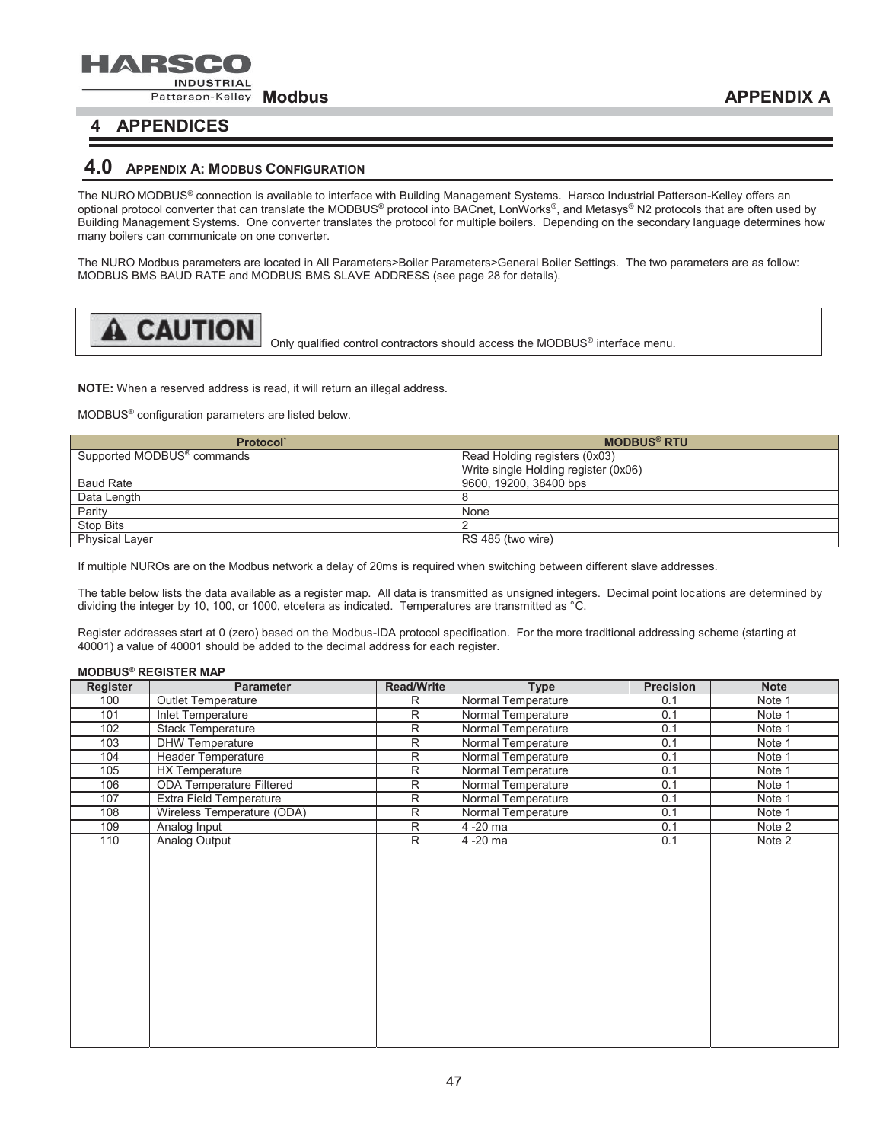

# **4 APPENDICES**

## **4.0 APPENDIX A: MODBUS CONFIGURATION**

The NURO MODBUS® connection is available to interface with Building Management Systems. Harsco Industrial Patterson-Kelley offers an optional protocol converter that can translate the MODBUS® protocol into BACnet, LonWorks®, and Metasys® N2 protocols that are often used by Building Management Systems. One converter translates the protocol for multiple boilers. Depending on the secondary language determines how many boilers can communicate on one converter.

The NURO Modbus parameters are located in All Parameters>Boiler Parameters>General Boiler Settings. The two parameters are as follow: MODBUS BMS BAUD RATE and MODBUS BMS SLAVE ADDRESS (see page 28 for details).



Only qualified control contractors should access the MODBUS® interface menu.

**NOTE:** When a reserved address is read, it will return an illegal address.

MODBUS® configuration parameters are listed below.

| Protocol                               | <b>MODBUS® RTU</b>                   |  |
|----------------------------------------|--------------------------------------|--|
| Supported MODBUS <sup>®</sup> commands | Read Holding registers (0x03)        |  |
|                                        | Write single Holding register (0x06) |  |
| <b>Baud Rate</b>                       | 9600, 19200, 38400 bps               |  |
| Data Length                            |                                      |  |
| Parity                                 | None                                 |  |
| <b>Stop Bits</b>                       |                                      |  |
| <b>Physical Layer</b>                  | RS 485 (two wire)                    |  |

If multiple NUROs are on the Modbus network a delay of 20ms is required when switching between different slave addresses.

The table below lists the data available as a register map. All data is transmitted as unsigned integers. Decimal point locations are determined by dividing the integer by 10, 100, or 1000, etcetera as indicated. Temperatures are transmitted as °C.

Register addresses start at 0 (zero) based on the Modbus-IDA protocol specification. For the more traditional addressing scheme (starting at 40001) a value of 40001 should be added to the decimal address for each register.

### **MODBUS® REGISTER MAP**

| Register | <b>Parameter</b>                | <b>Read/Write</b> | <b>Type</b>        | <b>Precision</b> | <b>Note</b> |
|----------|---------------------------------|-------------------|--------------------|------------------|-------------|
| 100      | Outlet Temperature              | R                 | Normal Temperature | 0.1              | Note 1      |
| 101      | <b>Inlet Temperature</b>        | R                 | Normal Temperature | 0.1              | Note 1      |
| 102      | Stack Temperature               | R                 | Normal Temperature | 0.1              | Note 1      |
| 103      | <b>DHW Temperature</b>          | $\overline{R}$    | Normal Temperature | 0.1              | Note 1      |
| 104      | <b>Header Temperature</b>       | R                 | Normal Temperature | 0.1              | Note 1      |
| 105      | <b>HX Temperature</b>           | R                 | Normal Temperature | 0.1              | Note 1      |
| 106      | <b>ODA Temperature Filtered</b> | R                 | Normal Temperature | 0.1              | Note 1      |
| 107      | Extra Field Temperature         | R                 | Normal Temperature | 0.1              | Note 1      |
| 108      | Wireless Temperature (ODA)      | R                 | Normal Temperature | 0.1              | Note 1      |
| 109      | Analog Input                    | R                 | 4 -20 ma           | 0.1              | Note 2      |
| 110      | Analog Output                   | R.                | 4 -20 ma           | 0.1              | Note 2      |
|          |                                 |                   |                    |                  |             |
|          |                                 |                   |                    |                  |             |
|          |                                 |                   |                    |                  |             |
|          |                                 |                   |                    |                  |             |
|          |                                 |                   |                    |                  |             |
|          |                                 |                   |                    |                  |             |
|          |                                 |                   |                    |                  |             |
|          |                                 |                   |                    |                  |             |
|          |                                 |                   |                    |                  |             |
|          |                                 |                   |                    |                  |             |
|          |                                 |                   |                    |                  |             |
|          |                                 |                   |                    |                  |             |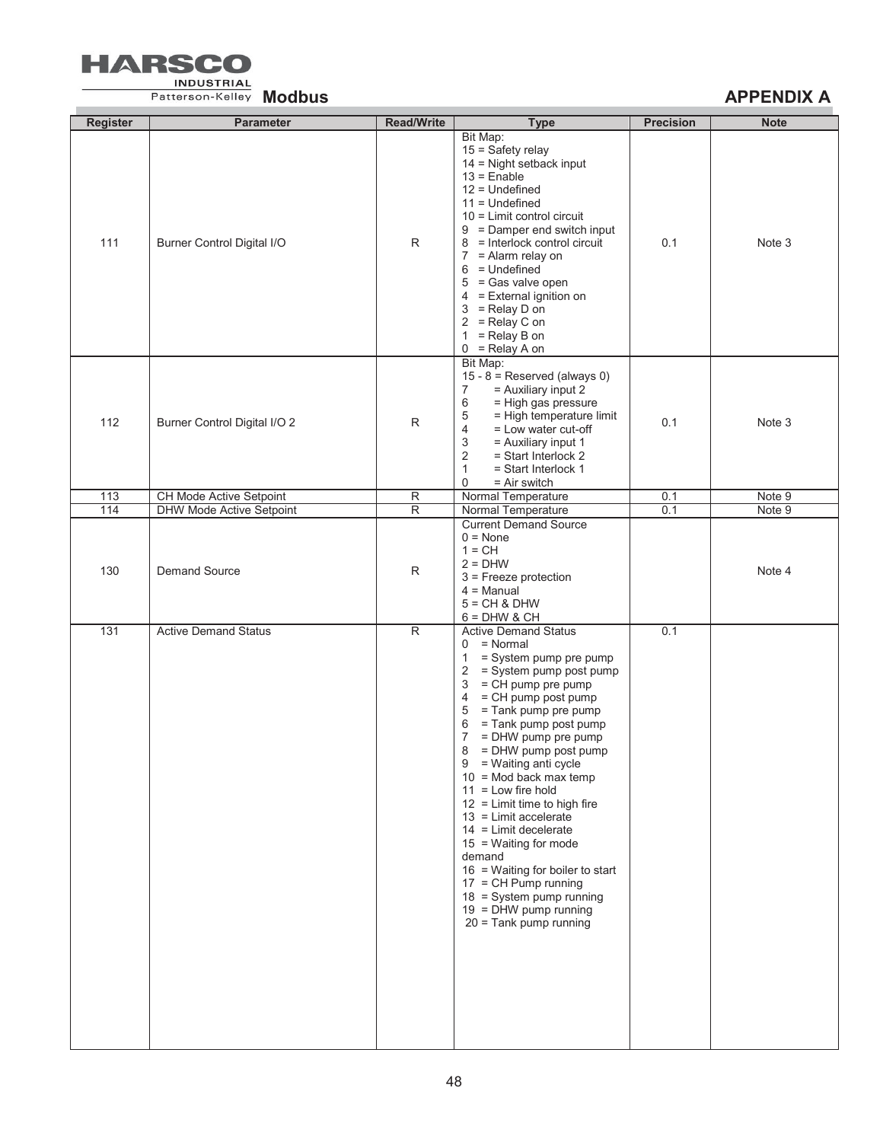

**EXECUTE APPENDIX A APPENDIX A APPENDIX A** 

| <b>Register</b>          | <b>Parameter</b>                                           | <b>Read/Write</b>                | <b>Type</b>                                                                                                                                                                                                                                                                                                                                                                                                                                                                                                                                                                                                                                                                          | <b>Precision</b> | <b>Note</b>      |
|--------------------------|------------------------------------------------------------|----------------------------------|--------------------------------------------------------------------------------------------------------------------------------------------------------------------------------------------------------------------------------------------------------------------------------------------------------------------------------------------------------------------------------------------------------------------------------------------------------------------------------------------------------------------------------------------------------------------------------------------------------------------------------------------------------------------------------------|------------------|------------------|
| 111                      | <b>Burner Control Digital I/O</b>                          | R                                | Bit Map:<br>$15 =$ Safety relay<br>14 = Night setback input<br>$13$ = Enable<br>$12 =$ Undefined<br>$11 =$ Undefined<br>$10 =$ Limit control circuit<br>9 = Damper end switch input<br>8 = Interlock control circuit<br>= Alarm relay on<br>$\overline{7}$<br>$6 =$ Undefined<br>$5 =$ Gas valve open<br>$4 =$ External ignition on<br>= Relay D on<br>3<br>2<br>= Relay C on<br>$=$ Relay B on<br>1<br>= Relay A on<br>0                                                                                                                                                                                                                                                            | 0.1              | Note 3           |
| 112                      | Burner Control Digital I/O 2                               | R                                | Bit Map:<br>15 - $8$ = Reserved (always 0)<br>= Auxiliary input 2<br>7<br>= High gas pressure<br>6<br>= High temperature limit<br>5<br>= Low water cut-off<br>4<br>3<br>= Auxiliary input 1<br>$\overline{2}$<br>$=$ Start Interlock 2<br>$=$ Start Interlock 1<br>1<br>0<br>$=$ Air switch                                                                                                                                                                                                                                                                                                                                                                                          | 0.1              | Note 3           |
| 113<br>$\frac{114}{114}$ | CH Mode Active Setpoint<br><b>DHW Mode Active Setpoint</b> | $\overline{R}$<br>$\overline{R}$ | Normal Temperature<br>Normal Temperature                                                                                                                                                                                                                                                                                                                                                                                                                                                                                                                                                                                                                                             | 0.1<br>0.1       | Note 9<br>Note 9 |
| 130                      | <b>Demand Source</b>                                       | $\mathsf{R}$                     | <b>Current Demand Source</b><br>$0 = \text{None}$<br>$1 = CH$<br>$2 = DHW$<br>$3$ = Freeze protection<br>$4 =$ Manual<br>$5 = CH & DHW$                                                                                                                                                                                                                                                                                                                                                                                                                                                                                                                                              |                  | Note 4           |
| $\overline{131}$         | <b>Active Demand Status</b>                                | $\overline{R}$                   | $6 = DHW$ & CH<br><b>Active Demand Status</b><br>= Normal<br>0<br>$\mathbf{1}$<br>= System pump pre pump<br>= System pump post pump<br>2<br>= CH pump pre pump<br>3<br>= CH pump post pump<br>4<br>= Tank pump pre pump<br>5<br>6<br>= Tank pump post pump<br>7<br>= DHW pump pre pump<br>8<br>= DHW pump post pump<br>= Waiting anti cycle<br>9<br>$10 =$ Mod back max temp<br>$11 =$ Low fire hold<br>$12$ = Limit time to high fire<br>$13$ = Limit accelerate<br>$14 =$ Limit decelerate<br>$15 =$ Waiting for mode<br>demand<br>16 = Waiting for boiler to start<br>$17 = CH$ Pump running<br>$18 = System$ pump running<br>$19 = DHW$ pump running<br>$20 =$ Tank pump running | 0.1              |                  |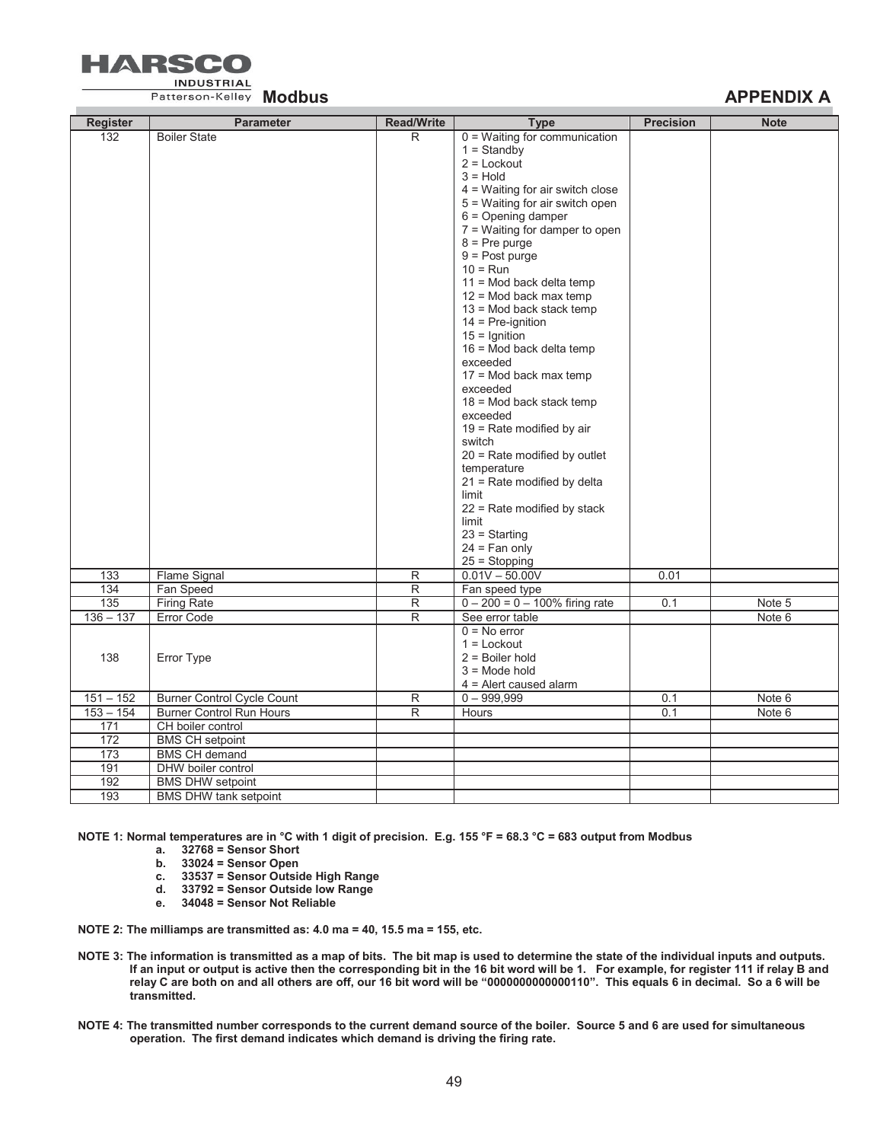

**Patterson-Kelley** Modbus **APPENDIX A** 

| <b>Register</b>  | <b>Parameter</b>                  | <b>Read/Write</b>       | <b>Type</b>                              | <b>Precision</b> | <b>Note</b> |
|------------------|-----------------------------------|-------------------------|------------------------------------------|------------------|-------------|
| 132              | <b>Boiler State</b>               | R                       | $0 =$ Waiting for communication          |                  |             |
|                  |                                   |                         | $1 =$ Standby                            |                  |             |
|                  |                                   |                         | $2 =$ Lockout                            |                  |             |
|                  |                                   |                         | $3 =$ Hold                               |                  |             |
|                  |                                   |                         | $4$ = Waiting for air switch close       |                  |             |
|                  |                                   |                         | 5 = Waiting for air switch open          |                  |             |
|                  |                                   |                         | $6 =$ Opening damper                     |                  |             |
|                  |                                   |                         | $7 =$ Waiting for damper to open         |                  |             |
|                  |                                   |                         | $8$ = Pre purge                          |                  |             |
|                  |                                   |                         | $9 = Post purge$                         |                  |             |
|                  |                                   |                         | $10 =$ Run<br>$11 =$ Mod back delta temp |                  |             |
|                  |                                   |                         | $12$ = Mod back max temp                 |                  |             |
|                  |                                   |                         | $13$ = Mod back stack temp               |                  |             |
|                  |                                   |                         | $14$ = Pre-ignition                      |                  |             |
|                  |                                   |                         | $15 =$ Ignition                          |                  |             |
|                  |                                   |                         | $16 = Mod$ back delta temp               |                  |             |
|                  |                                   |                         | exceeded                                 |                  |             |
|                  |                                   |                         | $17 =$ Mod back max temp                 |                  |             |
|                  |                                   |                         | exceeded                                 |                  |             |
|                  |                                   |                         | $18 =$ Mod back stack temp               |                  |             |
|                  |                                   |                         | exceeded                                 |                  |             |
|                  |                                   |                         | 19 = Rate modified by air                |                  |             |
|                  |                                   |                         | switch                                   |                  |             |
|                  |                                   |                         | 20 = Rate modified by outlet             |                  |             |
|                  |                                   |                         | temperature                              |                  |             |
|                  |                                   |                         | 21 = Rate modified by delta              |                  |             |
|                  |                                   |                         | limit                                    |                  |             |
|                  |                                   |                         | $22$ = Rate modified by stack            |                  |             |
|                  |                                   |                         | limit                                    |                  |             |
|                  |                                   |                         | $23 =$ Starting<br>$24 = Fan$ only       |                  |             |
|                  |                                   |                         | $25 =$ Stopping                          |                  |             |
| 133              | <b>Flame Signal</b>               | $\overline{R}$          | $0.01V - 50.00V$                         | 0.01             |             |
| 134              | Fan Speed                         | $\overline{R}$          | Fan speed type                           |                  |             |
| $\overline{135}$ | <b>Firing Rate</b>                | $\overline{R}$          | $0 - 200 = 0 - 100%$ firing rate         | 0.1              | Note 5      |
| $136 - 137$      | Error Code                        | $\overline{\mathsf{R}}$ | See error table                          |                  | Note 6      |
|                  |                                   |                         | $0 = No error$                           |                  |             |
|                  |                                   |                         | $1 =$ Lockout                            |                  |             |
| 138              | Error Type                        |                         | $2 =$ Boiler hold                        |                  |             |
|                  |                                   |                         | $3 =$ Mode hold                          |                  |             |
|                  |                                   |                         | $4$ = Alert caused alarm                 |                  |             |
| $151 - 152$      | <b>Burner Control Cycle Count</b> | R                       | $0 - 999,999$                            | 0.1              | Note 6      |
| $153 - 154$      | <b>Burner Control Run Hours</b>   | $\overline{R}$          | <b>Hours</b>                             | 0.1              | Note 6      |
| 171              | CH boiler control                 |                         |                                          |                  |             |
| 172              | <b>BMS CH setpoint</b>            |                         |                                          |                  |             |
| 173              | <b>BMS CH demand</b>              |                         |                                          |                  |             |
| 191              | DHW boiler control                |                         |                                          |                  |             |
| 192              | <b>BMS DHW setpoint</b>           |                         |                                          |                  |             |
| 193              | <b>BMS DHW tank setpoint</b>      |                         |                                          |                  |             |

**NOTE 1: Normal temperatures are in °C with 1 digit of precision. E.g. 155 °F = 68.3 °C = 683 output from Modbus** 

- **a. 32768 = Sensor Short**
- 
- **b. 33024 = Sensor Open c. 33537 = Sensor Outside High Range**
- **d. 33792 = Sensor Outside low Range**
- **e. 34048 = Sensor Not Reliable**
- **NOTE 2: The milliamps are transmitted as: 4.0 ma = 40, 15.5 ma = 155, etc.**
- **NOTE 3: The information is transmitted as a map of bits. The bit map is used to determine the state of the individual inputs and outputs. If an input or output is active then the corresponding bit in the 16 bit word will be 1. For example, for register 111 if relay B and relay C are both on and all others are off, our 16 bit word will be "0000000000000110". This equals 6 in decimal. So a 6 will be transmitted.**
- **NOTE 4: The transmitted number corresponds to the current demand source of the boiler. Source 5 and 6 are used for simultaneous operation. The first demand indicates which demand is driving the firing rate.**